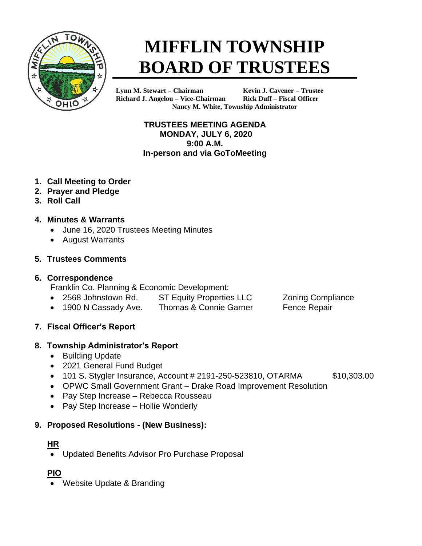

# **MIFFLIN TOWNSHIP BOARD OF TRUSTEES**

**Lynn M. Stewart – Chairman Kevin J. Cavener – Trustee Richard J. Angelou – Vice-Chairman Rick Duff – Fiscal Officer Nancy M. White, Township Administrator**

> **TRUSTEES MEETING AGENDA MONDAY, JULY 6, 2020 9:00 A.M. In-person and via GoToMeeting**

- **1. Call Meeting to Order**
- **2. Prayer and Pledge**
- **3. Roll Call**
- **4. Minutes & Warrants**
	- June 16, 2020 Trustees Meeting Minutes
	- August Warrants

## **5. Trustees Comments**

## **6. Correspondence**

Franklin Co. Planning & Economic Development:

- 2568 Johnstown Rd. ST Equity Properties LLC Zoning Compliance
- 1900 N Cassady Ave. Thomas & Connie Garner Fence Repair
- 

**7. Fiscal Officer's Report**

# **8. Township Administrator's Report**

- Building Update
- 2021 General Fund Budget
- 101 S. Stygler Insurance, Account # 2191-250-523810, OTARMA  $$10,303.00$
- OPWC Small Government Grant Drake Road Improvement Resolution
- Pay Step Increase Rebecca Rousseau
- Pay Step Increase Hollie Wonderly

# **9. Proposed Resolutions - (New Business):**

# **HR**

• Updated Benefits Advisor Pro Purchase Proposal

# **PIO**

• Website Update & Branding